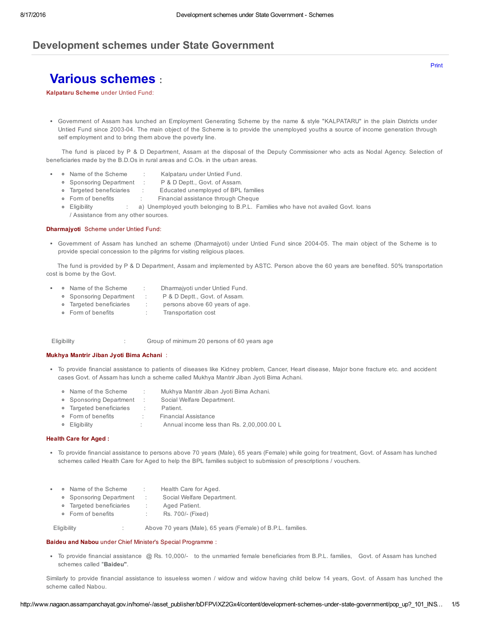# Development schemes under State Government

Various schemes :

Kalpataru Scheme under Untied Fund:

Government of Assam has lunched an Employment Generating Scheme by the name & style "KALPATARU" in the plain Districts under Untied Fund since 200304. The main object of the Scheme is to provide the unemployed youths a source of income generation through self employment and to bring them above the poverty line.

The fund is placed by P & D Department, Assam at the disposal of the Deputy Commissioner who acts as Nodal Agency. Selection of beneficiaries made by the B.D.Os in rural areas and C.Os. in the urban areas.

- Name of the Scheme : Kalpataru under Untied Fund.
- Sponsoring Department : P & D Deptt., Govt. of Assam.
- Targeted beneficiaries : Educated unemployed of BPL families
- Form of benefits : Financial assistance through Cheque
- Eligibility : a) Unemployed youth belonging to B.P.L. Families who have not availed Govt. loans / Assistance from any other sources.

#### Dharmajyoti Scheme under Untied Fund:

Government of Assam has lunched an scheme (Dharmajyoti) under Untied Fund since 200405. The main object of the Scheme is to provide special concession to the pilgrims for visiting religious places.

The fund is provided by P & D Department, Assam and implemented by ASTC. Person above the 60 years are benefited. 50% transportation cost is borne by the Govt.

- • Name of the Scheme : Dharmajyoti under Untied Fund.
	- Sponsoring Department : P & D Deptt., Govt. of Assam.
	- Targeted beneficiaries : persons above 60 years of age.
	- Form of benefits : Transportation cost

Eligibility : Group of minimum 20 persons of 60 years age

## Mukhya Mantrir Jiban Jyoti Bima Achani :

- To provide financial assistance to patients of diseases like Kidney problem, Cancer, Heart disease, Major bone fracture etc. and accident cases Govt. of Assam has lunch a scheme called Mukhya Mantrir Jiban Jyoti Bima Achani.
	- Name of the Scheme : Mukhya Mantrir Jiban Jyoti Bima Achani.
	- Sponsoring Department : Social Welfare Department.
	- Targeted beneficiaries : Patient.
	- Form of benefits : Financial Assistance
	- Eligibility : Annual income less than Rs. 2,00,000.00 L

## Health Care for Aged :

- To provide financial assistance to persons above 70 years (Male), 65 years (Female) while going for treatment, Govt. of Assam has lunched schemes called Health Care for Aged to help the BPL families subject to submission of prescriptions / vouchers.
- • Name of the Scheme : Health Care for Aged.
	- Sponsoring Department : Social Welfare Department.
	- Targeted beneficiaries : Aged Patient.
	- Form of benefits : Rs. 700/- (Fixed)

Eligibility : Above 70 years (Male), 65 years (Female) of B.P.L. families.

### Baideu and Nabou under Chief Minister's Special Programme :

To provide financial assistance @ Rs. 10,000/ to the unmarried female beneficiaries from B.P.L. families, Govt. of Assam has lunched schemes called "Baideu".

Similarly to provide financial assistance to issueless women / widow and widow having child below 14 years, Govt. of Assam has lunched the scheme called Nabou.

[Print](javascript:print();)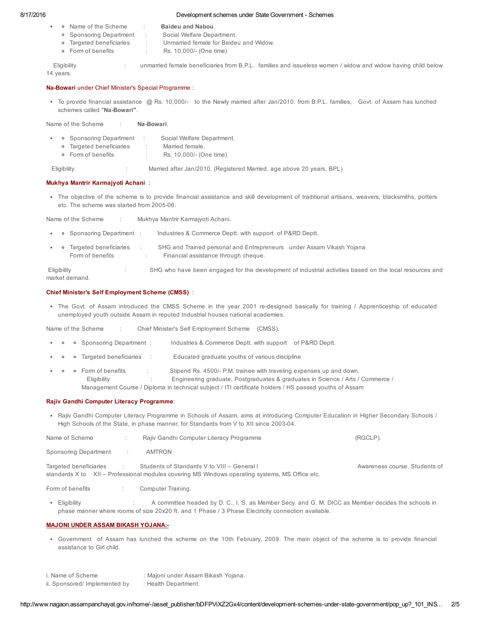## 8/17/2016 Development schemes under State Government Schemes

- o Name of the Scheme : Baideu and Nabou.
	-
	- Sponsoring Department : Social Welfare Department. Targeted beneficiaries : Unmarried female for Baideu and Widow.
	- Form of benefits : Rs. 10,000/ (One time)

Eligibility **included temale beneficiaries from B.P.L.** families and issueless women / widow and widow having child below 14 years.

#### Na-Bowari under Chief Minister's Special Programme :

• To provide financial assistance @ Rs. 10,000/- to the Newly married after Jan/2010. from B.P.L. families, Govt. of Assam has lunched schemes called "Na-Bowari".

Name of the Scheme : Na-Bowari.

- • Sponsoring Department : Social Welfare Department.
	- Targeted beneficiaries : Married female.
	- Form of benefits : Rs. 10,000/ (One time)

Eligibility : Married after Jan/2010. (Registered Married, age above 20 years, BPL)

## Mukhya Mantrir Karmajyoti Achani :

The objective of the scheme is to provide financial assistance and skill development of traditional artisans, weavers, blacksmiths, potters etc. The scheme was started from 2005-06.

Name of the Scheme : Mukhya Mantrir Karmajyoti Achani.

- • Sponsoring Department : Industries & Commerce Deptt. with support of P&RD Deptt.
- Targeted beneficiaries : SHG and Trained personal and Entrepreneurs under Assam Vikash Yojana Form of benefits : Financial assistance through cheque.

Eligibility **SHG** who have been engaged for the development of industrial activities based on the local resources and market demand.

## Chief Minister's Self Employment Scheme (CMSS) :

• The Govt. of Assam introduced the CMSS Scheme in the year 2001 re-designed basically for training / Apprenticeship of educated unemployed youth outside Assam in reputed Industrial houses national academies.

Name of the Scheme : Chief Minister's Self Employment Scheme (CMSS).

- • Sponsoring Department : Industries & Commerce Deptt. with support of P&RD Deptt.
- Targeted beneficiaries : Educated graduate youths of various discipline
- Form of benefits : Stipend Rs. 4500/ P.M. trainee with traveling expenses up and down. Eligibility : Engineering graduate, Postgraduates & graduates in Science / Arts / Commerce / Management Course / Diploma in technical subject / ITI certificate holders / HS passed youths of Assam

## Rajiv Gandhi Computer Literacy Programme:

• Rajiv Gandhi Computer Literacy Programme in Schools of Assam, aims at introducing Computer Education in Higher Secondary Schools / High Schools of the State, in phase manner, for Standards from V to XII since 2003-04.

| Name of Scheme           | Rajiv Gandhi Computer Literacy Programme                                                                                                       | (RGCLP).                      |
|--------------------------|------------------------------------------------------------------------------------------------------------------------------------------------|-------------------------------|
| Sponsoring Department    | AMTRON                                                                                                                                         |                               |
| Targeted beneficiaries : | Students of Standards V to VIII - General I<br>standards X to XII – Professional modules covering MS Windows operating systems, MS Office etc. | Awareness course. Students of |
| Form of benefits         | Computer Training.                                                                                                                             |                               |

Eligibility : A committee headed by D. C., I. S. as Member Secy. and G. M. DICC as Member decides the schools in phase manner where rooms of size 20x20 ft. and 1 Phase / 3 Phase Electricity connection available.

## MAJONI UNDER ASSAM BIKASH YOJANA:

- Government of Assam has lunched the scheme on the 10th February, 2009. The main object of the scheme is to provide financial assistance to Girl child.
- i. Name of Scheme : Majoni under Assam Bikash Yojana.
- ii. Sponsored/ Implemented by : Health Department.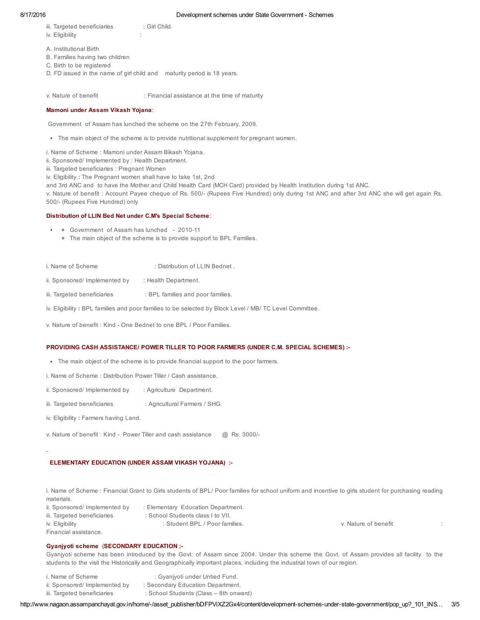## 8/17/2016 Development schemes under State Government Schemes

- iii. Targeted beneficiaries : Girl Child.
- iv. Eligibility :
- A. Institutional Birth
- B. Families having two children
- C. Birth to be registered
- D. FD issued in the name of girl child and maturity period is 18 years.

v. Nature of benefit : Financial assistance at the time of maturity

## Mamoni under Assam Vikash Yojana:

Government of Assam has lunched the scheme on the 27th February, 2009.

- The main object of the scheme is to provide nutritional supplement for pregnant women.
- i. Name of Scheme : Mamoni under Assam Bikash Yojana.
- ii. Sponsored/ Implemented by : Health Department.
- iii. Targeted beneficiaries : Pregnant Women

iv. Eligibility : The Pregnant women shall have to take 1st, 2nd

and 3rd ANC and to have the Mother and Child Health Card (MCH Card) provided by Health Institution during 1st ANC.

v. Nature of benefit : Account Payee cheque of Rs. 500/ (Rupees Five Hundred) only during 1st ANC and after 3rd ANC she will get again Rs. 500/- (Rupees Five Hundred) only

## Distribution of LLIN Bed Net under C.M's Special Scheme:

- • Government of Assam has lunched 2010-11
	- The main object of the scheme is to provide support to BPL Families.
- i. Name of Scheme : Distribution of LLIN Bednet .
- ii. Sponsored/ Implemented by : Health Department.
- iii. Targeted beneficiaries : BPL families and poor families.
- iv. Eligibility : BPL families and poor families to be selected by Block Level / MB/ TC Level Committee.
- v. Nature of benefit : Kind One Bednet to one BPL / Poor Families.

# PROVIDING CASH ASSISTANCE/ POWER TILLER TO POOR FARMERS (UNDER C.M. SPECIAL SCHEMES) :

- The main object of the scheme is to provide financial support to the poor farmers.
- i. Name of Scheme : Distribution Power Tiller / Cash assistance.
- ii. Sponsored/ Implemented by : Agriculture Department.
- iii. Targeted beneficiaries : Agricultural Farmers / SHG.
- iv. Eligibility : Farmers having Land.
- v. Nature of benefit : Kind Power Tiller and cash assistance @ Rs. 3000/-

# ELEMENTARY EDUCATION (UNDER ASSAM VIKASH YOJANA) :

i. Name of Scheme : Financial Grant to Girls students of BPL/ Poor families for school uniform and incentive to girls student for purchasing reading materials.

ii. Sponsored/ Implemented by : Elementary Education Department. iii. Targeted beneficiaries : School Students class I to VII. iv. Eligibility in the student BPL / Poor families. The student SPL / Poor families. Financial assistance.

# Gyanjyoti scheme (SECONDARY EDUCATION :

Gyanjyoti scheme has been introduced by the Govt. of Assam since 2004. Under this scheme the Govt. of Assam provides all facility to the students to the visit the Historically and Geographically important places, including the industrial town of our region.

- i. Name of Scheme : Gyanjyoti under Untied Fund. ii. Sponsored/ Implemented by : Secondary Education Department.
- 
- iii. Targeted beneficiaries : School Students (Class 8th onward)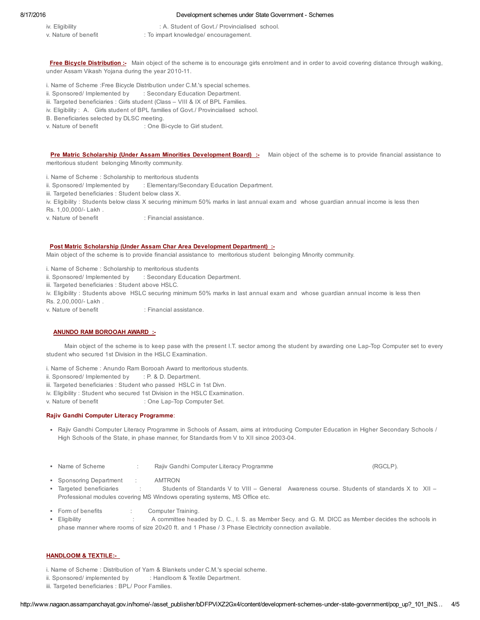### 8/17/2016 Development schemes under State Government Schemes

- iv. Eligibility : A. Student of Govt./ Provincialised school.
- v. Nature of benefit : To impart knowledge/ encouragement.

Free Bicycle Distribution :- Main object of the scheme is to encourage girls enrolment and in order to avoid covering distance through walking, under Assam Vikash Yojana during the year 2010-11.

- i. Name of Scheme :Free Bicycle Distribution under C.M.'s special schemes.
- ii. Sponsored/ Implemented by : Secondary Education Department.
- iii. Targeted beneficiaries : Girls student (Class VIII & IX of BPL Families.
- iv. Eligibility : A. Girls student of BPL families of Govt./ Provincialised school.
- B. Beneficiaries selected by DLSC meeting.
- v. Nature of benefit : One Bi-cycle to Girl student.

Pre Matric Scholarship (Under Assam Minorities Development Board) :- Main object of the scheme is to provide financial assistance to meritorious student belonging Minority community.

- i. Name of Scheme : Scholarship to meritorious students
- ii. Sponsored/ Implemented by : Elementary/Secondary Education Department.
- iii. Targeted beneficiaries : Student below class X.
- iv. Eligibility : Students below class X securing minimum 50% marks in last annual exam and whose guardian annual income is less then

Rs. 1,00,000/- Lakh.

v. Nature of benefit in Financial assistance

#### Post Matric Scholarship (Under Assam Char Area Development Department) :

Main object of the scheme is to provide financial assistance to meritorious student belonging Minority community.

- i. Name of Scheme : Scholarship to meritorious students
- ii. Sponsored/ Implemented by : Secondary Education Department.
- iii. Targeted beneficiaries : Student above HSLC.
- iv. Eligibility : Students above HSLC securing minimum 50% marks in last annual exam and whose guardian annual income is less then Rs. 2,00,000/- Lakh.
- 
- v. Nature of benefit : Financial assistance.

## ANUNDO RAM BOROOAH AWARD :

Main object of the scheme is to keep pase with the present I.T. sector among the student by awarding one LapTop Computer set to every student who secured 1st Division in the HSLC Examination.

- i. Name of Scheme : Anundo Ram Borooah Award to meritorious students.
- ii. Sponsored/ Implemented by  $\therefore$  P. & D. Department.
- iii. Targeted beneficiaries : Student who passed HSLC in 1st Divn.
- iv. Eligibility : Student who secured 1st Division in the HSLC Examination.
- v. Nature of benefit : One Lap-Top Computer Set.

## Rajiv Gandhi Computer Literacy Programme:

- Rajiv Gandhi Computer Literacy Programme in Schools of Assam, aims at introducing Computer Education in Higher Secondary Schools / High Schools of the State, in phase manner, for Standards from V to XII since 2003-04.
- Name of Scheme : Rajiv Gandhi Computer Literacy Programme (RGCLP).
- Sponsoring Department : AMTRON
- Targeted beneficiaries : Students of Standards V to VIII General Awareness course. Students of standards X to XII Professional modules covering MS Windows operating systems, MS Office etc.
- Form of benefits : Computer Training.
- Eligibility : A committee headed by D. C., I. S. as Member Secy. and G. M. DICC as Member decides the schools in phase manner where rooms of size 20x20 ft. and 1 Phase / 3 Phase Electricity connection available.

## HANDLOOM & TEXTILE:

- i. Name of Scheme : Distribution of Yarn & Blankets under C.M.'s special scheme.
- ii. Sponsored/ implemented by : Handloom & Textile Department.
- iii. Targeted beneficiaries : BPL/ Poor Families.